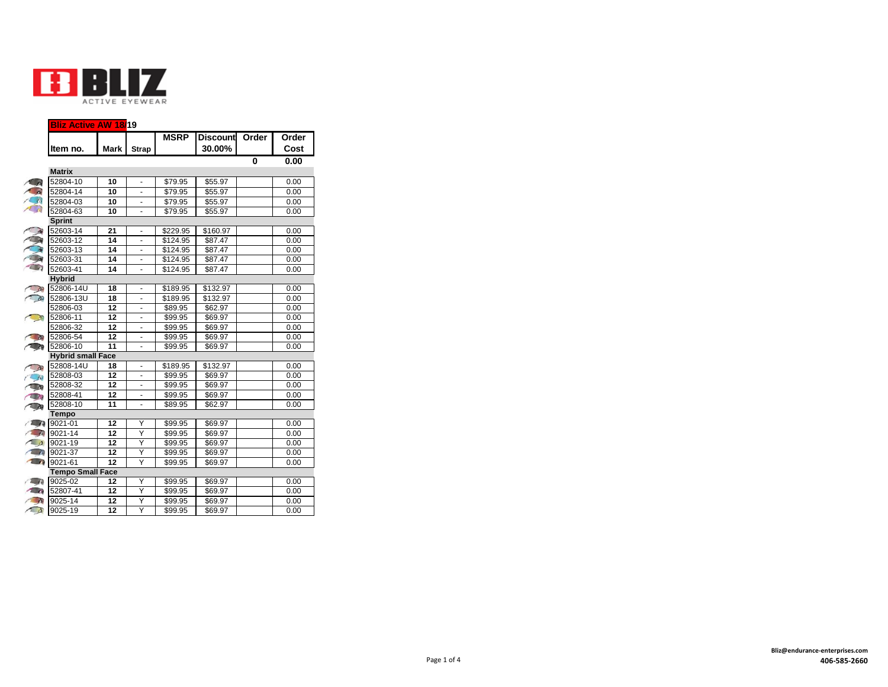

## **Bliz Active AW 18/19 MSRP Discount Order Order Item no. Mark Strap 30.00% Cost 0 0.00 Matrix** 52804-10 **10**  $-$  \$79.95 \$55.97 0.00  $\sqrt{a}$  $\sim$ 52804-14 **10**  $-$  \$79.95 \$55.97 0.00  $r \rightarrow 0$ 52804-03 **10**  $-$  \$79.95 \$55.97 0.00  $\sqrt{a}$ 52804-63 **10**  $-$  \$79.95 \$55.97 0.00 **Sprint** CONTROL 52603-14 **21**  $-$  \$229.95 \$160.97 | 0.00 52603-12 **14**  $-$  \$124.95 \$87.47 0.00 52603-13 **14** - \$124.95 \$87.47 0.00<br>- \$124.95 \$87.47 0.00 52603-31 **14** - \$124.95 \$87.47 0.00<br>- \$124.95 \$87.47 0.00 52603-41 **14**  $-$  \$124.95 **Hybrid** 52806-14U **18** - \$189.95 \$132.97 0.00<br>- \$189.95 \$132.97 0.00  $\rightarrow$ 52806-13U **18**  $-$  \$189.95 \$132.97 0.00 52806-03 **12**  $-$  \$89.95 \$62.97 | 0.00  $\rightarrow$ 52806-11 **12**  $-$  \$99.95 \$69.97 0.00 52806-32 **12**  $-$  \$99.95 \$69.97 | 0.00 52806-54 **12**  $-$  \$99.95 \$69.97 0.00  $\bigcirc$  $\sim$ 52806-10 **11**  $-$  \$99.95 \$69.97 0.00 **Hybrid small Face**  $-$  \$189.95 \$132.97 | 0.00 52808-14U **18**  $\bigcap$ 52808-03 **12**  $\sqrt{2}$ - \$99.95 \$69.97 0.00<br>- \$99.95 \$69.97 0.00 52808-32 **12** - \$99.95 \$69.97 0.00<br>- \$99.95 \$69.97 0.00  $\bigcap$ 52808-41 **12**  $-$  \$99.95  $\bigcirc$ 52808-10 **11**  $-$  \$89.95 \$62.97 0.00  $\sim$ **Tempo** 9021-01 **12** Y \$99.95 \$69.97 0.00 9021-14 **12**<br>9021-19 **12** Y \$99.95 \$69.97 0.00<br>Y \$99.95 \$69.97 0.00 **12** 9021-19 Y \$99.95 \$69.97 0.00 9021-37 **12** Y | \$99.95 | \$69.97 | 0.00 **12** 9021-61 **12** Y \$99.95 \$69.97 0.00 **Tempo Small Face 12** 9025-02 **12** Y | \$99.95 | \$69.97 | 0.00  $\sqrt{2}$ 52807-41 **12** Y | \$99.95 | \$69.97 | 0.00  $\sqrt{2}$ 9025-14 **12** Y \$99.95 \$69.97 0.00 9025-19 **12** Y | \$99.95 | \$69.97 | 0.00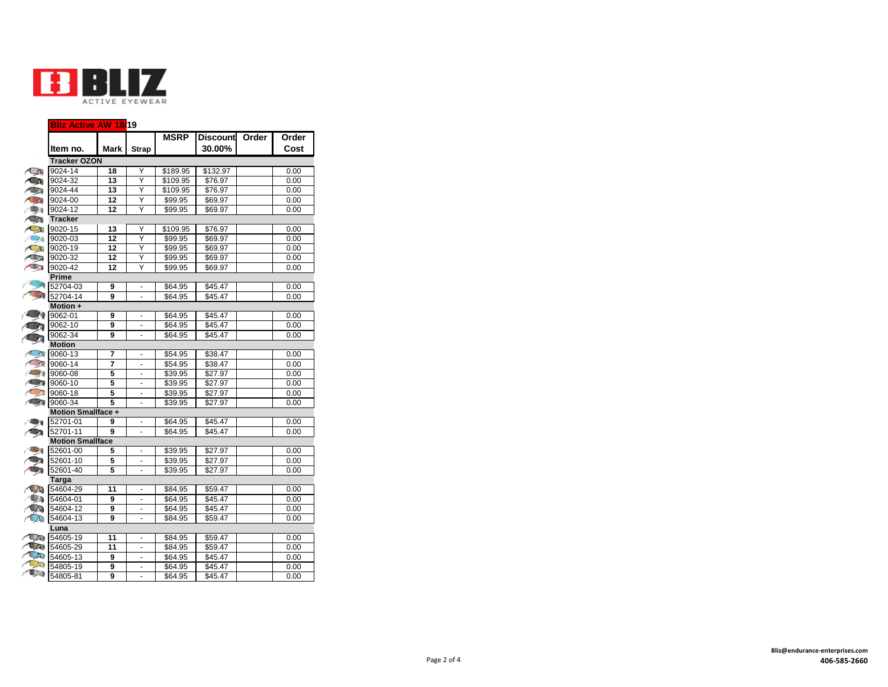

## **Bliz Active AW 18/19 MSRP Discount Order Order Item no. Mark Strap 30.00% Cost Tracker OZON 18** 9024-14 **18** Y | \$189.95 | \$132.97 | 0.00  $\bigcirc$ 9024-32 **13** Y | \$109.95 | \$76.97 | | 0.00  $\sqrt{2}$ 9024-44 **13** Y | \$109.95 | \$76.97 | 0.00  $\triangle$ 9024-00 **12** Y \$99.95 \$69.97 0.00 9024-12 **12** Y | \$99.95 | \$69.97 | | 0.00 **Tracker**  $\curvearrowleft$ 9020-15 **13** Y \$109.95 \$76.97 0.00<br>Y \$99.95 \$69.97 0.00 9020-03 **12**  $\frac{$99.95}{$99.95}$   $\frac{$69.97}{$69.97}$  0.00  $\sim$ 9020-19 **12** Y \$99.95 \$69.97 **9020-32** 12 Y \$99.95 \$69.97 0.00 9020-42 **12** Y | \$99.95 | \$69.97 | | 0.00 **Prime** 52704-03 **9**  $-$  \$64.95 \$45.47 0.00  $\sqrt{2}$ 52704-14 **9**  $-$  \$64.95 \$45.47 0.00 **Motion +** 9062-01 **9**  $-$  \$64.95 \$45.47 0.00  $\sqrt{2}$ 9062-10 **9**  $-$  \$64.95 \$45.47 | 0.00 9062-34 **9**  $-$  \$64.95 \$45.47 0.00 **CONTRACTOR Motion** 9060-13  $-$  \$54.95 \$38.47 | 0.00 **7** 19060-14 **7**  $-$  \$54.95 \$38.47 0.00 8060-08 **5** - \$39.95 \$27.97 0.00<br>- \$39.95 \$27.97 0.00 9060-10 **5** - \$39.95 \$27.97<br>- \$39.95 \$27.97  $\sum_{i=1}^{n}$ 9060-18 **5**  $-$  \$39.95 \$27.97 0.00  $\sqrt{2}$ 9060-34 **5**  $-$  \$39.95 \$27.97 0.00 **Motion Smallface +**  $\sqrt{2}$ 52701-01 **9** - \$64.95 \$45.47 0.00<br>- \$64.95 \$45.47 0.00 52701-11 **9**  $-$  \$64.95 \$45.47  $\sqrt{2}$ **Motion Smallface**  $\sim$   $\sim$   $\sim$ 52601-00 **5**  $-$  \$39.95 \$27.97 | 0.00  $\sqrt{2}$ 52601-10 **5**  $-$  \$39.95 \$27.97 0.00 **STATE** 52601-40 **5**  $-$  \$39.95 \$27.97 0.00 **Targa 11** 54604-29 11  $-$  \$84.95 \$59.47 | 0.00  $54604-01$ **9** - \$64.95 \$45.47 0.00<br>- \$64.95 \$45.47 0.00  $\bigcirc$ 54604-12 **9**  $-$  \$64.95 \$45.47  $\bullet$ 54604-13 **9**  $-$  \$84.95 \$59.47  $\vert$  0.00 **Luna** 54605-19 **11**  $-$  \$84.95 \$59.47 | 0.00 54605-29 **11** - \$84.95 \$59.47 0.00<br>- \$64.95 \$45.47 0.00  $700$   $54605-13$ **9** - \$64.95 \$45.47<br>- \$64.95 \$45.47  $\frac{1}{54805-19}$ **9**  $-$  \$64.95 \$45.47 0.00 54805-81 **9**  $-$  \$64.95 \$45.47  $\vert$  0.00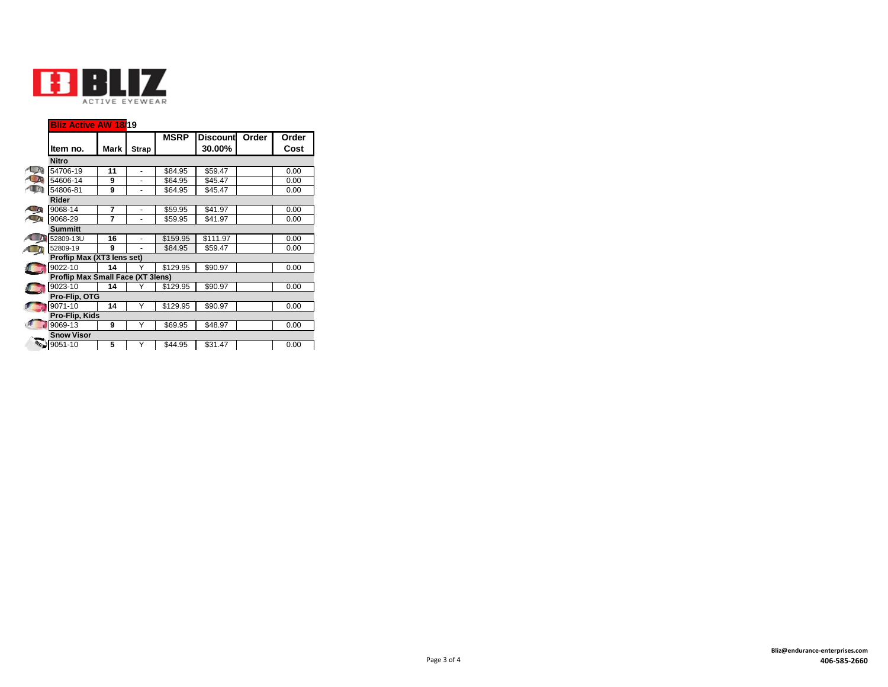

## **Bliz Active AW 18/19**

|                                   |      |              | <b>MSRP</b> | <b>Discount</b> | Order | Order |  |  |  |  |
|-----------------------------------|------|--------------|-------------|-----------------|-------|-------|--|--|--|--|
| ltem no.                          | Mark | <b>Strap</b> |             | 30.00%          |       | Cost  |  |  |  |  |
| <b>Nitro</b>                      |      |              |             |                 |       |       |  |  |  |  |
| 54706-19                          | 11   | ٠            | \$84.95     | \$59.47         |       | 0.00  |  |  |  |  |
| 54606-14                          | 9    | ٠            | \$64.95     | \$45.47         |       | 0.00  |  |  |  |  |
| 54806-81                          | 9    |              | \$64.95     | \$45.47         |       | 0.00  |  |  |  |  |
| <b>Rider</b>                      |      |              |             |                 |       |       |  |  |  |  |
| 9068-14                           | 7    | ٠            | \$59.95     | \$41.97         |       | 0.00  |  |  |  |  |
| 9068-29                           | 7    |              | \$59.95     | \$41.97         |       | 0.00  |  |  |  |  |
| <b>Summitt</b>                    |      |              |             |                 |       |       |  |  |  |  |
| 52809-13U                         | 16   |              | \$159.95    | \$111.97        |       | 0.00  |  |  |  |  |
| 52809-19                          | 9    |              | \$84.95     | \$59.47         |       | 0.00  |  |  |  |  |
| Proflip Max (XT3 lens set)        |      |              |             |                 |       |       |  |  |  |  |
| 9022-10                           | 14   | Y            | \$129.95    | \$90.97         |       | 0.00  |  |  |  |  |
| Proflip Max Small Face (XT 3lens) |      |              |             |                 |       |       |  |  |  |  |
| 9023-10                           | 14   |              | \$129.95    | \$90.97         |       | 0.00  |  |  |  |  |
| Pro-Flip, OTG                     |      |              |             |                 |       |       |  |  |  |  |
| 9071-10                           | 14   | Y            | \$129.95    | \$90.97         |       | 0.00  |  |  |  |  |
| Pro-Flip, Kids                    |      |              |             |                 |       |       |  |  |  |  |
| 9069-13                           | 9    | Υ            | \$69.95     | \$48.97         |       | 0.00  |  |  |  |  |
| <b>Snow Visor</b>                 |      |              |             |                 |       |       |  |  |  |  |
| 9051-10                           | 5    |              | \$44.95     | \$31.47         |       | 0.00  |  |  |  |  |
|                                   |      |              |             |                 |       |       |  |  |  |  |